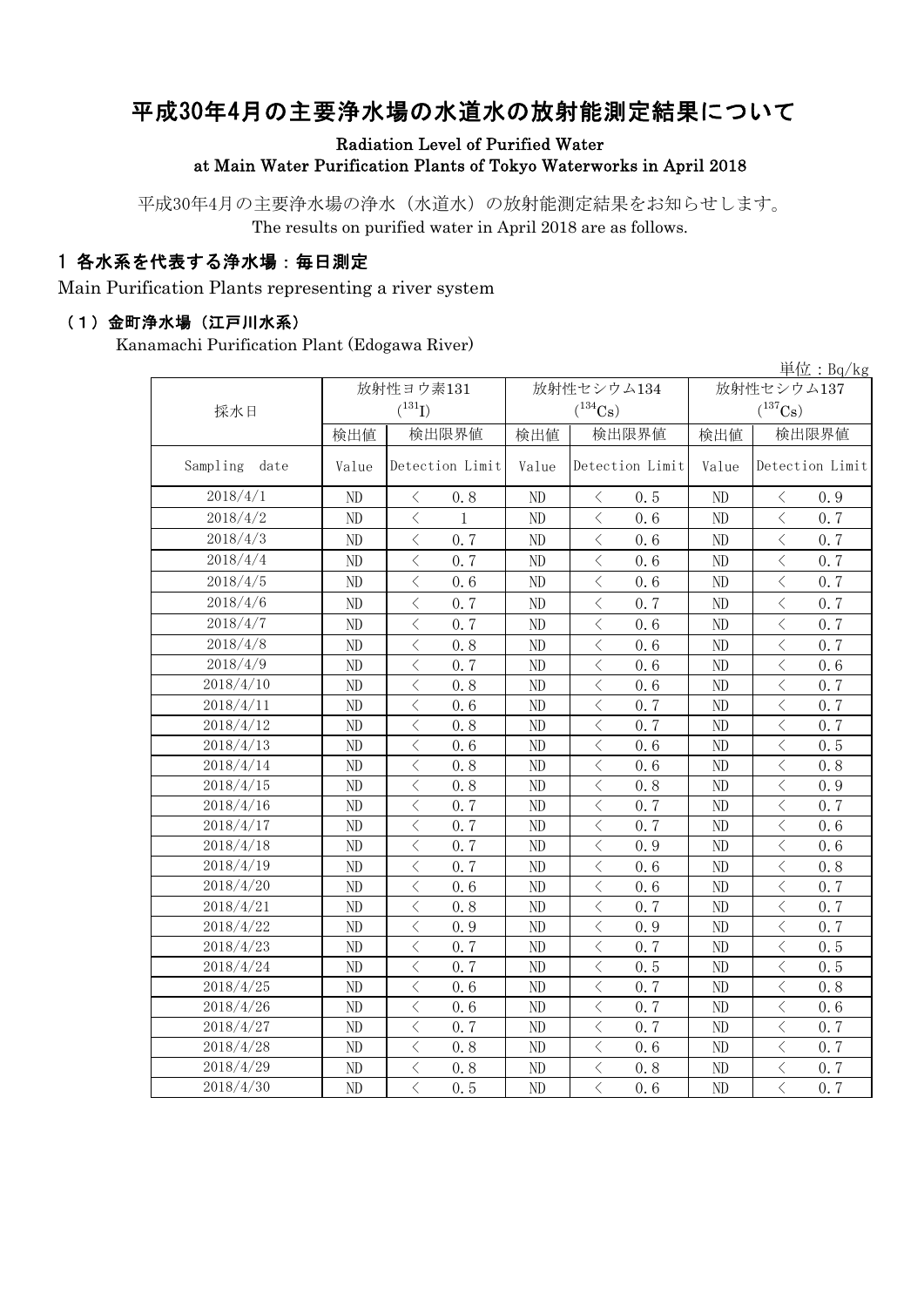# 平成30年4月の主要浄水場の水道水の放射能測定結果について

Radiation Level of Purified Water at Main Water Purification Plants of Tokyo Waterworks in April 2018

平成30年4月の主要浄水場の浄水(水道水)の放射能測定結果をお知らせします。 The results on purified water in April 2018 are as follows.

### 1 各水系を代表する浄水場:毎日測定

Main Purification Plants representing a river system

#### (1)金町浄水場(江戸川水系)

Kanamachi Purification Plant (Edogawa River)

|                  |           |                                          |              |              |                                          |      |              |                                          | 単位: $Bq/kg$ |  |
|------------------|-----------|------------------------------------------|--------------|--------------|------------------------------------------|------|--------------|------------------------------------------|-------------|--|
|                  | 放射性ヨウ素131 |                                          |              |              | 放射性セシウム134                               |      | 放射性セシウム137   |                                          |             |  |
| 採水日              |           | $(^{131}I)$                              |              |              | $(^{134}Cs)$                             |      | $(^{137}Cs)$ |                                          |             |  |
|                  | 検出値       |                                          | 検出限界値        | 検出限界値<br>検出値 |                                          |      | 検出値          | 検出限界値                                    |             |  |
| Sampling<br>date | Value     | Detection Limit                          |              | Value        | Detection Limit                          |      | Value        | Detection Limit                          |             |  |
| 2018/4/1         | ND        | $\lt$                                    | 0.8          | ND           | $\lt$                                    | 0.5  | ND           | $\langle$                                | 0.9         |  |
| 2018/4/2         | ND        | $\lt$                                    | $\mathbf{1}$ | ND           | $\langle$                                | 0, 6 | ND           | $\langle$                                | 0.7         |  |
| 2018/4/3         | ND        | $\langle$                                | 0.7          | ND           | $\langle$                                | 0.6  | $\rm ND$     | $\langle$                                | 0.7         |  |
| 2018/4/4         | ND        | $\lt$                                    | 0.7          | ND           | $\langle$                                | 0, 6 | ND           | $\langle$                                | 0.7         |  |
| 2018/4/5         | ND        | $\langle$                                | 0.6          | ND           | $\overline{\left\langle \right\rangle }$ | 0.6  | $\rm ND$     | $\langle$                                | 0, 7        |  |
| 2018/4/6         | ND        | $\langle$                                | 0.7          | ND           | $\overline{\left\langle \right\rangle }$ | 0.7  | $\rm ND$     | $\overline{\left\langle \right\rangle }$ | 0.7         |  |
| 2018/4/7         | ND        | $\langle$                                | 0.7          | ND           | $\overline{\left\langle \right\rangle }$ | 0.6  | $\rm ND$     | $\overline{\left\langle \right\rangle }$ | 0.7         |  |
| 2018/4/8         | ND        | $\, \zeta \,$                            | 0.8          | ND           | $\langle$                                | 0.6  | $\rm ND$     | $\langle$                                | 0, 7        |  |
| 2018/4/9         | ND        | $\langle$                                | 0.7          | ND           | $\overline{\left\langle \right\rangle }$ | 0.6  | $\rm ND$     | $\langle$                                | 0.6         |  |
| 2018/4/10        | ND        | $\, \zeta \,$                            | 0.8          | ND           | $\langle$                                | 0.6  | $\rm ND$     | $\, \zeta \,$                            | 0.7         |  |
| 2018/4/11        | ND        | $\,$ $\,$ $\,$                           | 0.6          | ND           | $\overline{\left\langle \right\rangle }$ | 0.7  | $\rm ND$     | $\lt$                                    | 0.7         |  |
| 2018/4/12        | ND        | $\, <\,$                                 | 0.8          | ND           | $\langle$                                | 0.7  | ND           | $\, <\,$                                 | 0.7         |  |
| 2018/4/13        | ND        | $\langle$                                | 0.6          | ND           | $\lt$                                    | 0.6  | $\rm ND$     | $\langle$                                | 0.5         |  |
| 2018/4/14        | ND        | $\langle$                                | 0.8          | ND           | $\langle$                                | 0.6  | $\rm ND$     | $\lt$                                    | 0.8         |  |
| 2018/4/15        | $\rm ND$  | $\lt$                                    | 0.8          | ND           | $\langle$                                | 0.8  | ND           | $\langle$                                | 0.9         |  |
| 2018/4/16        | $\rm ND$  | $\lt$                                    | 0.7          | ND           | $\langle$                                | 0.7  | ND           | $\overline{\left\langle \right\rangle }$ | 0.7         |  |
| 2018/4/17        | ND        | $\langle$                                | 0.7          | ND           | $\langle$                                | 0.7  | $\rm ND$     | $\langle$                                | 0.6         |  |
| 2018/4/18        | $\rm ND$  | $\langle$                                | 0.7          | ND           | $\langle$                                | 0.9  | $\rm ND$     | $\overline{\left\langle \right\rangle }$ | 0.6         |  |
| 2018/4/19        | ND        | $\overline{\left\langle \right\rangle }$ | 0.7          | ND           | $\langle$                                | 0.6  | ND           | $\overline{\left\langle \right\rangle }$ | 0.8         |  |
| 2018/4/20        | ND        | $\langle$                                | 0.6          | ND           | $\langle$                                | 0.6  | ND           | $\overline{\left\langle \right\rangle }$ | 0.7         |  |
| 2018/4/21        | ND        | $\langle$                                | 0.8          | ND           | $\langle$                                | 0.7  | ND           | $\overline{\left\langle \right\rangle }$ | 0.7         |  |
| 2018/4/22        | ND        | $\overline{\left\langle \right\rangle }$ | 0.9          | ND           | $\overline{\left\langle \right\rangle }$ | 0.9  | $\rm ND$     | $\overline{\left\langle \right\rangle }$ | 0, 7        |  |
| 2018/4/23        | ND        | $\overline{\left\langle \right\rangle }$ | 0.7          | ND           | $\overline{\left\langle \right\rangle }$ | 0.7  | ND           | $\overline{\left\langle \right\rangle }$ | 0.5         |  |
| 2018/4/24        | ND        | $\overline{\left\langle \right\rangle }$ | 0.7          | ND           | $\overline{\left\langle \right\rangle }$ | 0, 5 | ND           | $\overline{\left\langle \right\rangle }$ | 0.5         |  |
| 2018/4/25        | ND        | $\langle$                                | 0, 6         | ND           | $\overline{\left\langle \right\rangle }$ | 0.7  | ND           | $\langle$                                | 0.8         |  |
| 2018/4/26        | ND        | $\langle$                                | 0, 6         | ND           | $\langle$                                | 0.7  | ND           | $\langle$                                | 0.6         |  |
| 2018/4/27        | ND        | $\langle$                                | 0.7          | ND           | $\overline{\left\langle \right\rangle }$ | 0.7  | ND           | $\overline{\left\langle \right\rangle }$ | 0, 7        |  |
| 2018/4/28        | ND        | $\langle$                                | 0, 8         | ND           | $\langle$                                | 0, 6 | ND           | $\overline{\left\langle \right\rangle }$ | 0, 7        |  |
| 2018/4/29        | ND        | $\lt$                                    | 0.8          | ND           | $\langle$                                | 0.8  | $\rm ND$     | $\overline{\left\langle \right\rangle }$ | 0.7         |  |
| 2018/4/30        | ND        | $\langle$                                | 0.5          | ND           | $\overline{\langle}$                     | 0, 6 | ND           | $\overline{\left\langle \right\rangle }$ | 0.7         |  |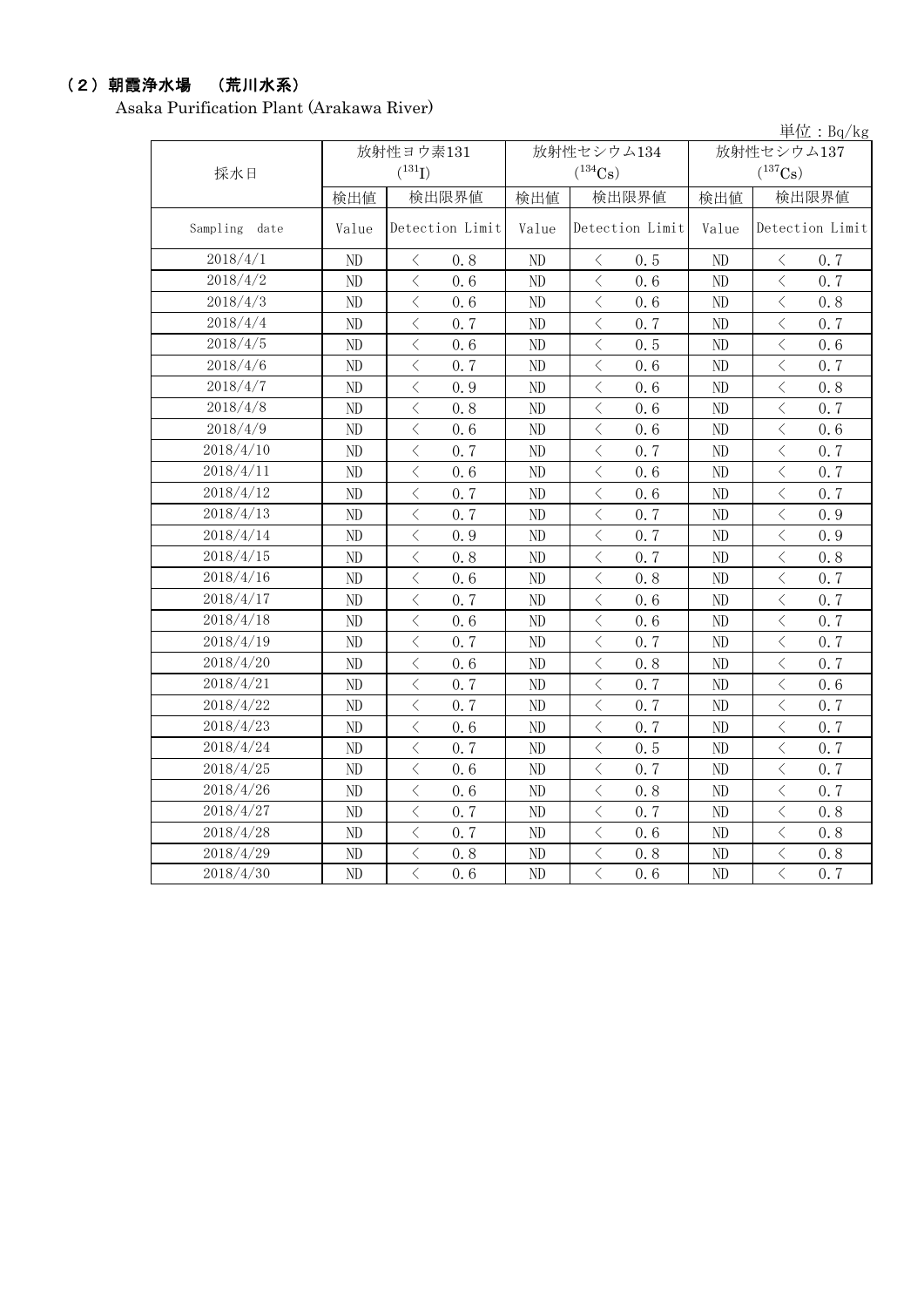## (2)朝霞浄水場 (荒川水系)

Asaka Purification Plant (Arakawa River)

|               |       |                                                                                              |       |                                                  |                | 単位: $Bq/kg$                                     |  |
|---------------|-------|----------------------------------------------------------------------------------------------|-------|--------------------------------------------------|----------------|-------------------------------------------------|--|
|               |       | 放射性ヨウ素131                                                                                    |       | 放射性セシウム134                                       | 放射性セシウム137     |                                                 |  |
| 採水日           |       | $(^{131}I)$                                                                                  |       | $(^{134}\mathrm{Cs})$                            |                | $(^{137}Cs)$                                    |  |
|               | 検出値   | 検出限界値                                                                                        | 検出値   | 検出限界値                                            | 検出値            | 検出限界値                                           |  |
| Sampling date | Value | Detection Limit                                                                              | Value | Detection Limit                                  | Value          | Detection Limit                                 |  |
| 2018/4/1      | ND    | 0.8<br>$\lt$                                                                                 | ND    | 0.5<br>$\langle$                                 | ND             | 0.7<br>$\lt$                                    |  |
| 2018/4/2      | ND    | $\langle$<br>0, 6                                                                            | ND    | $\overline{\left\langle \right\rangle }$<br>0, 6 | ND             | $\overline{\langle}$<br>0.7                     |  |
| 2018/4/3      | ND    | $\langle$<br>0, 6                                                                            | ND    | $\langle$<br>0, 6                                | N <sub>D</sub> | $\, < \,$<br>0.8                                |  |
| 2018/4/4      | ND    | $\langle$<br>0.7                                                                             | ND    | $\langle$<br>0.7                                 | ND             | $\overline{\left\langle \right\rangle }$<br>0.7 |  |
| 2018/4/5      | ND    | $\overline{\left\langle \right\rangle }$<br>0.6                                              | ND    | $\langle$<br>0.5                                 | ND             | $\langle$<br>0.6                                |  |
| 2018/4/6      | ND    | $\lt$<br>0.7                                                                                 | ND    | $\,$ $\,$<br>0.6                                 | ND             | $\lt$<br>0.7                                    |  |
| 2018/4/7      | ND    | $\hspace{0.1mm} <$<br>0.9                                                                    | ND    | $\langle$<br>0.6                                 | ND             | $\hspace{0.5cm}\big\langle$<br>0.8              |  |
| 2018/4/8      | ND    | $\,$ $\,$ $\,$<br>0.8                                                                        | ND    | $\lt$<br>0.6                                     | ND             | $\lt$<br>0.7                                    |  |
| 2018/4/9      | ND    | $\, <\,$<br>0.6                                                                              | ND    | $\, <\,$<br>0.6                                  | ND             | $\lt$<br>0.6                                    |  |
| 2018/4/10     | ND    | $\overline{\left\langle \right\rangle }$<br>0.7                                              | ND    | $\lt$<br>0.7                                     | ND             | $\lt$<br>0.7                                    |  |
| 2018/4/11     | ND    | $\overline{\left\langle \right\rangle }$<br>0.6                                              | ND    | $\lt$<br>0.6                                     | ND             | $\langle$<br>0.7                                |  |
| 2018/4/12     | ND    | $\langle$<br>0, 7                                                                            | ND    | $\overline{\left\langle \right\rangle }$<br>0.6  | ND             | $\langle$<br>0.7                                |  |
| 2018/4/13     | ND    | $\overline{\left\langle \right\rangle }$<br>0.7                                              | ND    | $\overline{\left\langle \right\rangle }$<br>0, 7 | N <sub>D</sub> | $\overline{\left\langle \right\rangle }$<br>0.9 |  |
| 2018/4/14     | ND    | $\langle$<br>0.9                                                                             | ND    | $\langle$<br>0.7                                 | ND             | $\langle$<br>0.9                                |  |
| 2018/4/15     | ND    | $\overline{\left\langle \right\rangle }$<br>0.8                                              | ND    | $\langle$<br>0.7                                 | ND             | $\,$ $\,$ $\,$<br>0.8                           |  |
| 2018/4/16     | ND    | $\langle$<br>0, 6                                                                            | ND    | $\langle$<br>0.8                                 | ND             | $\overline{\left\langle \right\rangle }$<br>0.7 |  |
| 2018/4/17     | ND    | $\lt$<br>0.7                                                                                 | ND    | $\overline{\left\langle \right\rangle }$<br>0.6  | ND             | $\lt$<br>0.7                                    |  |
| 2018/4/18     | ND    | $\langle$<br>0.6                                                                             | ND    | $\langle$<br>0.6                                 | ND             | $\langle$<br>0.7                                |  |
| 2018/4/19     | ND    | $\, <\,$<br>0.7                                                                              | ND    | $\lt$<br>0.7                                     | ND             | $\lt$<br>0.7                                    |  |
| 2018/4/20     | ND    | $\hspace{0.1mm}\mathopen{\begin{array}{c}\mathopen{\frown}\end{array}}\hspace{0.1mm}$<br>0.6 | ND    | $\langle$<br>0.8                                 | ND             | $\, <\,$<br>0.7                                 |  |
| 2018/4/21     | ND    | $\langle$<br>0.7                                                                             | ND    | $\langle$<br>0.7                                 | ND             | $\langle$<br>0.6                                |  |
| 2018/4/22     | ND    | $\langle$<br>0, 7                                                                            | ND    | 0, 7<br>⟨                                        | $\rm ND$       | 0, 7<br>⟨                                       |  |
| 2018/4/23     | ND    | $\langle$<br>0.6                                                                             | ND    | $\lt$<br>0.7                                     | $\rm ND$       | $\lt$<br>0.7                                    |  |
| 2018/4/24     | ND    | $\langle$<br>0.7                                                                             | ND    | $\langle$<br>0.5                                 | ND             | $\langle$<br>0.7                                |  |
| 2018/4/25     | ND    | $\lt$<br>0.6                                                                                 | ND    | $\lt$<br>0.7                                     | ND             | $\langle$<br>0.7                                |  |
| 2018/4/26     | ND    | $\overline{\left\langle \right\rangle }$<br>0.6                                              | ND    | $\langle$<br>0.8                                 | ND             | $\overline{\left\langle \right\rangle }$<br>0.7 |  |
| 2018/4/27     | ND    | $\langle$<br>0.7                                                                             | ND    | $\langle$<br>0.7                                 | ND             | $\overline{\left\langle \right\rangle }$<br>0.8 |  |
| 2018/4/28     | ND    | $\langle$<br>0.7                                                                             | ND    | $\langle$<br>0.6                                 | ND             | $\,$ $\,$ $\,$<br>0.8                           |  |
| 2018/4/29     | ND    | $\,$ $\,$ $\,$<br>0.8                                                                        | ND    | $\langle$<br>0.8                                 | ND             | $\, <\,$<br>0.8                                 |  |
| 2018/4/30     | ND    | $\overline{\langle}$<br>0.6                                                                  | ND    | $\overline{\left\langle \right\rangle }$<br>0.6  | ND             | $\overline{\langle}$<br>0, 7                    |  |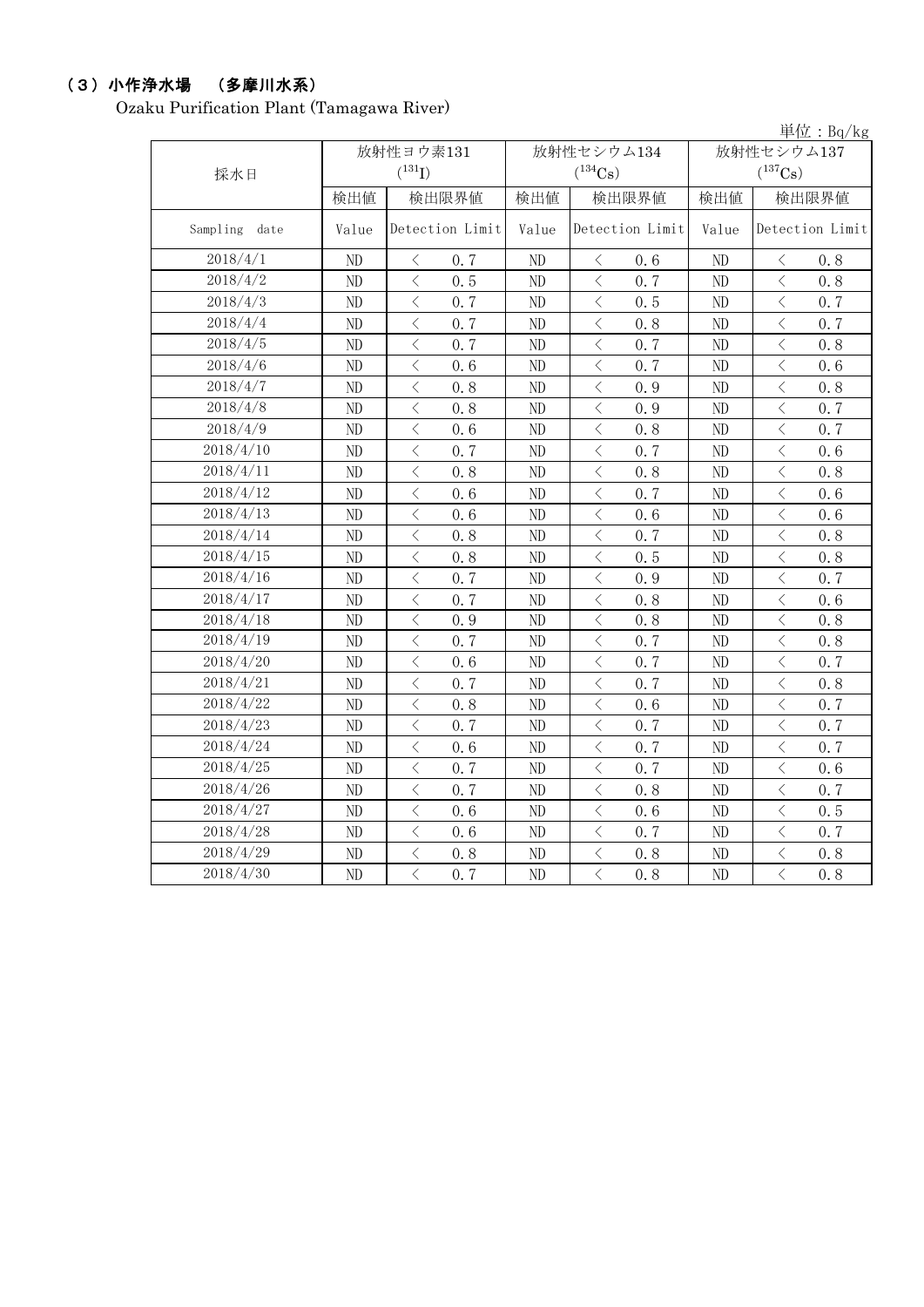# (3)小作浄水場 (多摩川水系)

Ozaku Purification Plant (Tamagawa River)

|               |           |                                                                                                               |          |                                                  |            | 単位: $Bq/kg$                                                                                                                                                                         |  |
|---------------|-----------|---------------------------------------------------------------------------------------------------------------|----------|--------------------------------------------------|------------|-------------------------------------------------------------------------------------------------------------------------------------------------------------------------------------|--|
|               | 放射性ヨウ素131 |                                                                                                               |          | 放射性セシウム134                                       | 放射性セシウム137 |                                                                                                                                                                                     |  |
| 採水日           |           | $(^{131}I)$                                                                                                   |          | $(^{134}Cs)$                                     |            | $(^{137}Cs)$                                                                                                                                                                        |  |
|               | 検出値       | 検出限界値                                                                                                         | 検出値      | 検出限界値                                            | 検出値        | 検出限界値                                                                                                                                                                               |  |
| Sampling date | Value     | Detection Limit                                                                                               | Value    | Detection Limit                                  | Value      | Detection Limit                                                                                                                                                                     |  |
| 2018/4/1      | ND        | 0.7<br>$\langle$                                                                                              | ND       | 0.6<br>$\langle$                                 | ND         | 0.8<br>$\lt$                                                                                                                                                                        |  |
| 2018/4/2      | ND        | $\langle$<br>0.5                                                                                              | ND       | $\langle$<br>0.7                                 | ND         | $\langle$<br>0.8                                                                                                                                                                    |  |
| 2018/4/3      | ND        | $\overline{\left\langle \right\rangle }$<br>0.7                                                               | ND       | $\langle$<br>0.5                                 | ND         | $\lt$<br>0.7                                                                                                                                                                        |  |
| 2018/4/4      | ND        | $\langle$<br>0.7                                                                                              | ND       | $\langle$<br>0.8                                 | ND         | $\langle$<br>0.7                                                                                                                                                                    |  |
| 2018/4/5      | ND        | $\, <\,$<br>0.7                                                                                               | ND       | $\lt$<br>0.7                                     | ND         | $\lt$<br>0.8                                                                                                                                                                        |  |
| 2018/4/6      | ND        | $\lt$<br>0.6                                                                                                  | ND       | $\,$ $\,$<br>0.7                                 | ND         | $\, \zeta \,$<br>0, 6                                                                                                                                                               |  |
| 2018/4/7      | ND        | $\, \zeta \,$<br>0.8                                                                                          | ND       | $\, <\,$<br>0.9                                  | ND         | $\, <\,$<br>0.8                                                                                                                                                                     |  |
| 2018/4/8      | ND        | $\langle$<br>0.8                                                                                              | ND       | $\lt$<br>0.9                                     | ND         | $\lt$<br>0.7                                                                                                                                                                        |  |
| 2018/4/9      | ND        | $\lt$<br>0.6                                                                                                  | ND       | $\langle$<br>0.8                                 | ND         | $\lt$<br>0, 7                                                                                                                                                                       |  |
| 2018/4/10     | ND        | $\langle$<br>0.7                                                                                              | ND       | $\lt$<br>0.7                                     | ND         | $\overline{\left\langle \right\rangle }$<br>0.6                                                                                                                                     |  |
| 2018/4/11     | ND        | $\lt$<br>0.8                                                                                                  | ND       | $\lt$<br>0.8                                     | ND         | $\lt$<br>0.8                                                                                                                                                                        |  |
| 2018/4/12     | ND        | $\langle$<br>0.6                                                                                              | ND       | $\langle$<br>0.7                                 | ND         | $\lt$<br>0.6                                                                                                                                                                        |  |
| 2018/4/13     | ND        | $\overline{\left\langle \right\rangle }$<br>0.6                                                               | ND       | $\overline{\left\langle \right\rangle }$<br>0, 6 | ND         | $\overline{\left\langle \right\rangle }$<br>0.6                                                                                                                                     |  |
| 2018/4/14     | ND        | $\, \zeta \,$<br>0.8                                                                                          | ND       | $\langle$<br>0.7                                 | ND         | $\overline{\left\langle \right. }% ,\left\langle \overline{\left\langle \right. }% ,\left\langle \overline{\left\langle \right. }\right\rangle \right\rangle \left. \right.$<br>0.8 |  |
| 2018/4/15     | ND        | $\overline{\left\langle \right\rangle }$<br>0.8                                                               | ND       | $\langle$<br>0.5                                 | ND         | $\,$ $\,$ $\,$<br>0.8                                                                                                                                                               |  |
| 2018/4/16     | ND        | $\langle$<br>0.7                                                                                              | ND       | $\langle$<br>0.9                                 | ND         | $\overline{\left\langle \right\rangle }$<br>0.7                                                                                                                                     |  |
| 2018/4/17     | ND        | $\langle$<br>0.7                                                                                              | ND       | $\lt$<br>0.8                                     | ND         | $\lt$<br>0.6                                                                                                                                                                        |  |
| 2018/4/18     | ND        | $\langle$<br>0.9                                                                                              | ND       | $\langle$<br>0.8                                 | ND         | $\lt$<br>0.8                                                                                                                                                                        |  |
| 2018/4/19     | ND        | $\lt$<br>0.7                                                                                                  | ND       | $\, <\,$<br>0.7                                  | ND         | $\lt$<br>0.8                                                                                                                                                                        |  |
| 2018/4/20     | ND        | $\langle$<br>0.6                                                                                              | ND       | $\langle$<br>0.7                                 | ND         | $\langle$<br>0.7                                                                                                                                                                    |  |
| 2018/4/21     | ND        | $\lt$<br>0.7                                                                                                  | ND       | $\lt$<br>0.7                                     | ND         | $\lt$<br>0.8                                                                                                                                                                        |  |
| 2018/4/22     | ND        | $\lt$<br>0.8                                                                                                  | ND       | $\lt$<br>0.6                                     | ND         | $\lt$<br>0.7                                                                                                                                                                        |  |
| 2018/4/23     | ND        | $\, <\,$<br>0.7                                                                                               | ND       | $\langle$<br>0.7                                 | ND         | $\langle$<br>0.7                                                                                                                                                                    |  |
| 2018/4/24     | ND        | $\hspace{0.1mm}\mathopen{\begin{array}{c}\mathopen{\fbox{$\scriptstyle<\}}\end{array}}\hspace{-0.1mm}$<br>0.6 | ND       | $\, <\,$<br>0.7                                  | ND         | $\, <\,$<br>0.7                                                                                                                                                                     |  |
| 2018/4/25     | ND        | $\langle$<br>0.7                                                                                              | ND       | $\langle$<br>0.7                                 | ND         | $\langle$<br>0.6                                                                                                                                                                    |  |
| 2018/4/26     | ND        | $\langle$<br>0.7                                                                                              | $\rm ND$ | $\lt$<br>0.8                                     | ND         | $\lt$<br>0.7                                                                                                                                                                        |  |
| 2018/4/27     | ND        | $\langle$<br>0.6                                                                                              | ND       | $\lt$<br>0.6                                     | ND         | $\lt$<br>0.5                                                                                                                                                                        |  |
| 2018/4/28     | ND        | $\lt$<br>0.6                                                                                                  | ND       | $\, <\,$<br>0.7                                  | ND         | $\lt$<br>0.7                                                                                                                                                                        |  |
| 2018/4/29     | ND        | $\lt$<br>0.8                                                                                                  | ND       | $\lt$<br>0.8                                     | ND         | $\lt$<br>0.8                                                                                                                                                                        |  |
| 2018/4/30     | ND        | $\langle$<br>0.7                                                                                              | ND       | $\overline{\left\langle \right\rangle }$<br>0.8  | ND         | $\overline{\left\langle \right. }% ,\left\langle \overline{\left\langle \right. }% ,\left\langle \overline{\left\langle \right. }\right\rangle \right\rangle \left. \right.$<br>0.8 |  |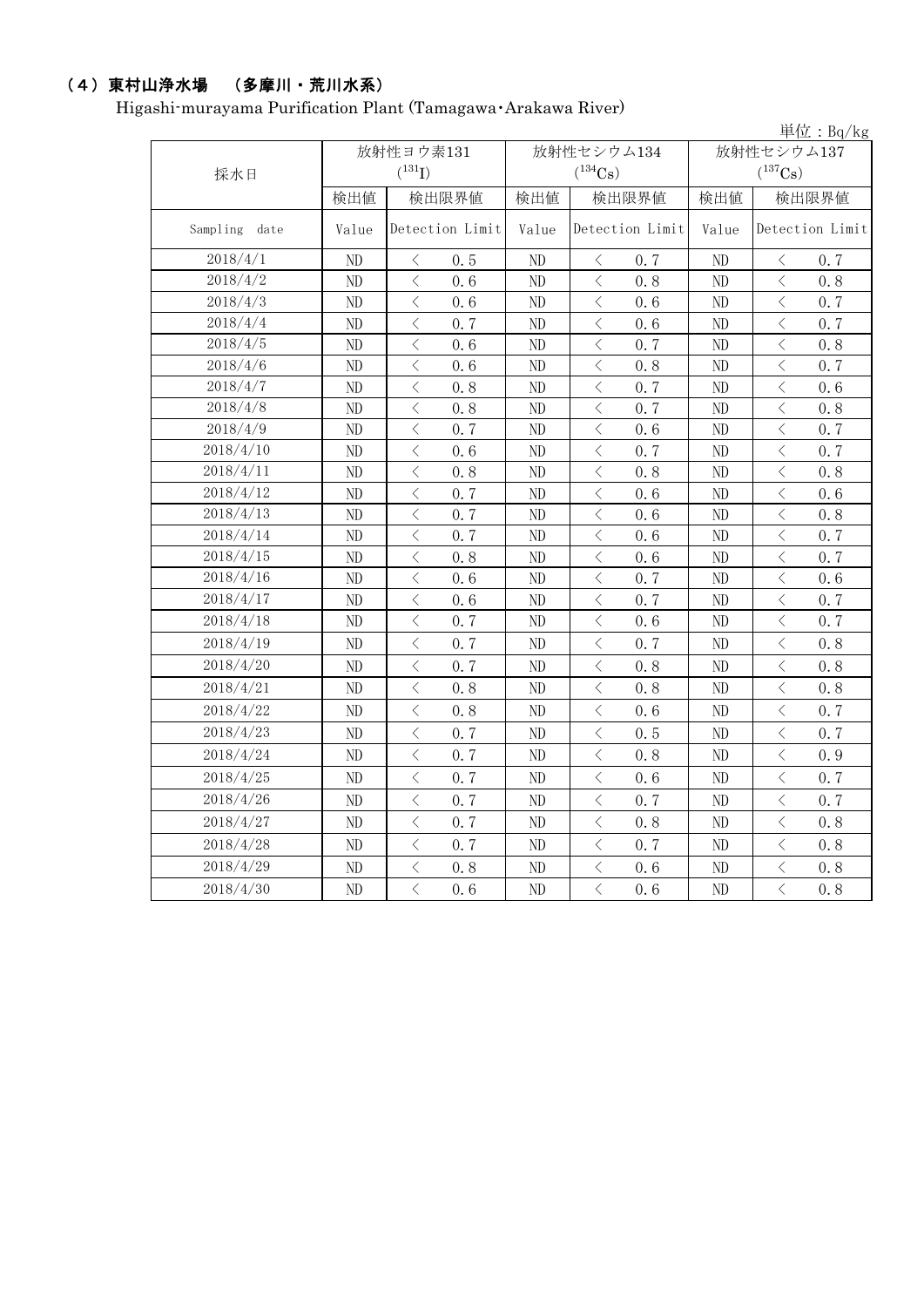# (4)東村山浄水場 (多摩川・荒川水系)

Higashi-murayama Purification Plant (Tamagawa・Arakawa River)

|               |       |                                                 |              |                                                 |                | 単位: $Bq/kg$                                     |  |
|---------------|-------|-------------------------------------------------|--------------|-------------------------------------------------|----------------|-------------------------------------------------|--|
|               |       | 放射性ヨウ素131                                       |              | 放射性セシウム134                                      | 放射性セシウム137     |                                                 |  |
| 採水日           |       | $(^{131}I)$                                     |              | $(^{134}\mathrm{Cs})$                           |                | $(^{137}\mathrm{Cs})$                           |  |
|               | 検出値   | 検出限界値                                           | 検出限界値<br>検出値 |                                                 | 検出値            | 検出限界値                                           |  |
| Sampling date | Value | Detection Limit                                 | Value        | Detection Limit                                 | Value          | Detection Limit                                 |  |
| 2018/4/1      | ND    | 0.5<br>$\lt$                                    | ND           | 0.7<br>$\langle$                                | ND             | 0.7<br>$\lt$                                    |  |
| 2018/4/2      | ND    | $\langle$<br>0.6                                | ND           | $\langle$<br>0.8                                | ND             | $\lt$<br>0.8                                    |  |
| 2018/4/3      | ND    | $\langle$<br>0.6                                | ND           | $\lt$<br>0.6                                    | ND             | $\lt$<br>0.7                                    |  |
| 2018/4/4      | ND    | $\langle$<br>0.7                                | ND           | $\lt$<br>0.6                                    | ND             | $\lt$<br>0.7                                    |  |
| 2018/4/5      | ND    | $\lt$<br>0.6                                    | $\rm ND$     | $\lt$<br>0.7                                    | ND             | $\lt$<br>0.8                                    |  |
| 2018/4/6      | ND    | $\overline{\left\langle \right\rangle }$<br>0.6 | $\rm ND$     | $\langle$<br>0.8                                | ND             | $\langle$<br>0, 7                               |  |
| 2018/4/7      | ND    | $\langle$<br>0.8                                | $\rm ND$     | $\lt$<br>0.7                                    | ND             | $\langle$<br>0.6                                |  |
| 2018/4/8      | ND    | $\langle$<br>0.8                                | ND           | $\langle$<br>0.7                                | ND             | $\langle$<br>0.8                                |  |
| 2018/4/9      | ND    | $\, \zeta \,$<br>0, 7                           | ND           | $\lt$<br>0.6                                    | ND             | $\langle$<br>0.7                                |  |
| 2018/4/10     | ND    | $\overline{\left\langle \right\rangle }$<br>0.6 | ND           | $\overline{\left\langle \right\rangle }$<br>0.7 | ND             | $\overline{\left\langle \right\rangle }$<br>0.7 |  |
| 2018/4/11     | ND    | $\overline{\left\langle \right\rangle }$<br>0.8 | ND           | $\overline{\left\langle \right\rangle }$<br>0.8 | ND             | $\overline{\left\langle \right\rangle }$<br>0.8 |  |
| 2018/4/12     | ND    | $\lt$<br>0.7                                    | ND           | $\lt$<br>0.6                                    | ND             | $\lt$<br>0.6                                    |  |
| 2018/4/13     | ND    | $\overline{\left\langle \right\rangle }$<br>0.7 | ND           | $\langle$<br>0.6                                | ND             | $\overline{\left\langle \right\rangle }$<br>0.8 |  |
| 2018/4/14     | ND    | $\langle$<br>0.7                                | ND           | $\lt$<br>0.6                                    | N <sub>D</sub> | $\langle$<br>0.7                                |  |
| 2018/4/15     | ND    | $\langle$<br>0.8                                | ND           | $\langle$<br>0.6                                | ND             | $\langle$<br>0.7                                |  |
| 2018/4/16     | ND    | $\overline{\left\langle \right\rangle }$<br>0.6 | ND           | $\lt$<br>0.7                                    | ND             | $\,$ $\,$ $\,$<br>0.6                           |  |
| 2018/4/17     | ND    | $\langle$<br>0.6                                | ND           | $\lt$<br>0.7                                    | ND             | $\,$ $\,$ $\,$<br>0.7                           |  |
| 2018/4/18     | ND    | $\langle$<br>0.7                                | ND           | $\lt$<br>0.6                                    | ND             | $\langle$<br>0.7                                |  |
| 2018/4/19     | ND    | $\lt$<br>0.7                                    | ND           | $\lt$<br>0.7                                    | ND             | $\lt$<br>0.8                                    |  |
| 2018/4/20     | ND    | $\langle$<br>0.7                                | ND           | $\lt$<br>0.8                                    | ND             | $\, <\,$<br>0.8                                 |  |
| 2018/4/21     | ND    | $\langle$<br>0.8                                | ND           | $\langle$<br>0, 8                               | ND             | $\langle$<br>0, 8                               |  |
| 2018/4/22     | ND    | $\langle$<br>0.8                                | ND           | $\langle$<br>0, 6                               | ND             | $\langle$<br>0.7                                |  |
| 2018/4/23     | ND    | $\langle$<br>0.7                                | ND           | $\lt$<br>0.5                                    | ND             | $\, \zeta \,$<br>0.7                            |  |
| 2018/4/24     | ND    | $\langle$<br>0.7                                | ND           | $\overline{\left\langle \right\rangle }$<br>0.8 | ND             | $\overline{\left\langle \right\rangle }$<br>0.9 |  |
| 2018/4/25     | ND    | $\langle$<br>0.7                                | ND           | $\langle$<br>0, 6                               | ND             | $\langle$<br>0, 7                               |  |
| 2018/4/26     | ND    | $\langle$<br>0, 7                               | ND           | $\overline{\left\langle \right\rangle }$<br>0.7 | ND             | $\lt$<br>0.7                                    |  |
| 2018/4/27     | ND    | $\langle$<br>0.7                                | ND           | $\lt$<br>0.8                                    | ND             | $\lt$<br>0.8                                    |  |
| 2018/4/28     | ND    | $\langle$<br>0.7                                | $\rm ND$     | 0.7<br>$\langle$                                | ND             | $\, <\,$<br>0.8                                 |  |
| 2018/4/29     | ND    | $\langle$<br>0.8                                | $\rm ND$     | $\lt$<br>0, 6                                   | $\rm ND$       | $\lt$<br>0.8                                    |  |
| 2018/4/30     | ND    | $\langle$<br>0.6                                | ND           | $\langle$<br>0.6                                | ND             | $\overline{\left\langle \right\rangle }$<br>0.8 |  |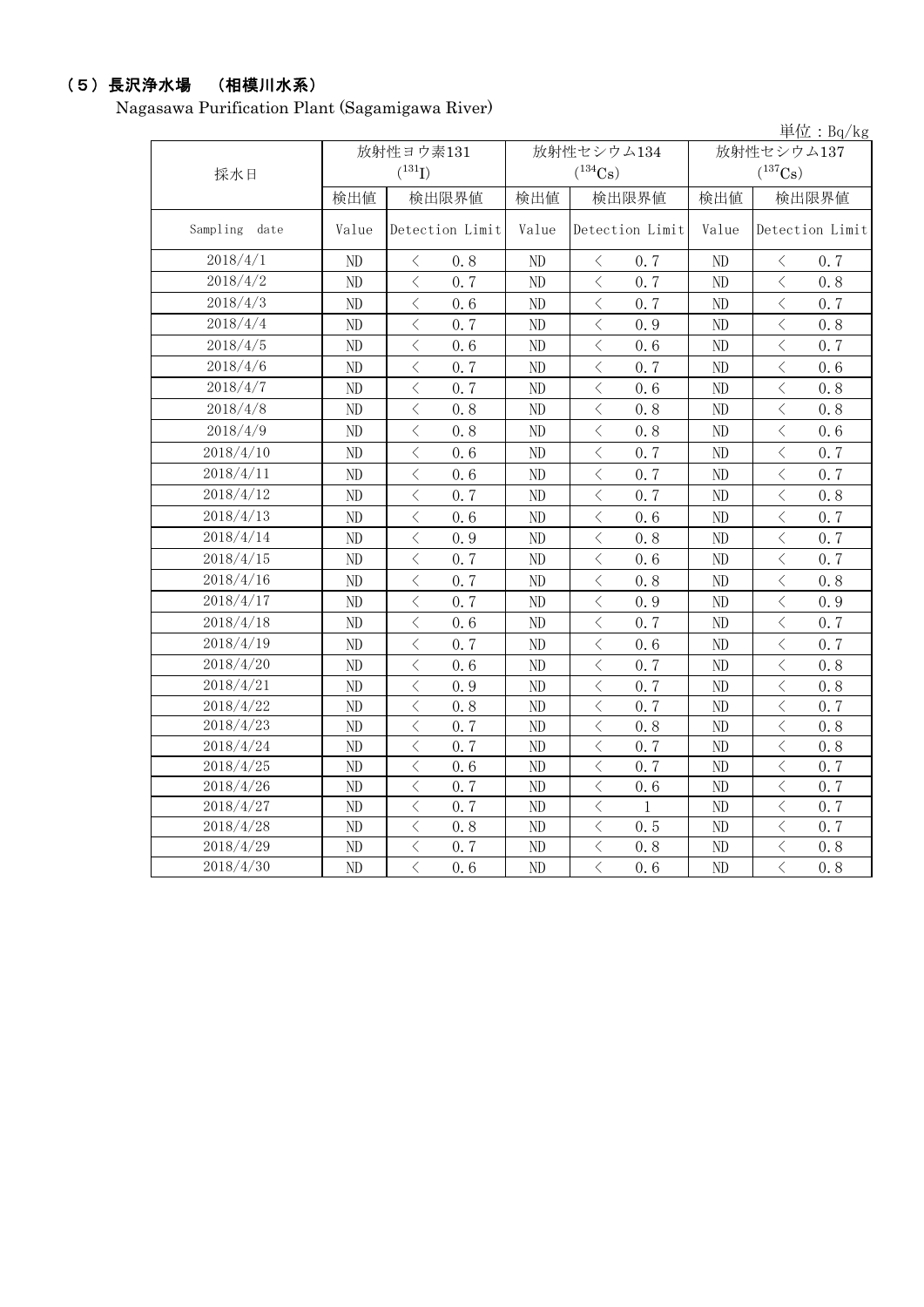# (5)長沢浄水場 (相模川水系)

Nagasawa Purification Plant (Sagamigawa River)

|               |       |                                                                                                                                                                      |          |                                                  |            | 単位: $Bq/kg$                                     |  |
|---------------|-------|----------------------------------------------------------------------------------------------------------------------------------------------------------------------|----------|--------------------------------------------------|------------|-------------------------------------------------|--|
|               |       | 放射性ヨウ素131                                                                                                                                                            |          | 放射性セシウム134                                       | 放射性セシウム137 |                                                 |  |
| 採水日           |       | $(^{131}I)$                                                                                                                                                          |          | $(^{134}\mathrm{Cs})$                            |            | $(^{137}Cs)$                                    |  |
|               | 検出値   | 検出限界値                                                                                                                                                                | 検出値      | 検出限界値                                            | 検出値        | 検出限界値                                           |  |
| Sampling date | Value | Detection Limit                                                                                                                                                      | Value    | Detection Limit                                  | Value      | Detection Limit                                 |  |
| 2018/4/1      | ND    | $\langle$<br>0.8                                                                                                                                                     | $\rm ND$ | $\langle$<br>0.7                                 | ND         | 0.7<br>$\langle$                                |  |
| 2018/4/2      | ND    | $\overline{\left\langle \right\rangle }$<br>0.7                                                                                                                      | ND       | $\langle$<br>0.7                                 | ND         | $\overline{\left\langle \right\rangle }$<br>0.8 |  |
| 2018/4/3      | ND    | $\,$ $\,$ $\,$<br>0, 6                                                                                                                                               | $\rm ND$ | $\lt$<br>0.7                                     | ND         | $\langle$<br>0.7                                |  |
| 2018/4/4      | ND    | $\langle$<br>0.7                                                                                                                                                     | ND       | $\lt$<br>0.9                                     | ND         | $\lt$<br>0.8                                    |  |
| 2018/4/5      | ND    | $\langle$<br>0.6                                                                                                                                                     | ND       | $\lt$<br>0.6                                     | $\rm ND$   | $\, <\,$<br>0.7                                 |  |
| 2018/4/6      | ND    | $\,$ $\,$ $\,$<br>0.7                                                                                                                                                | ND       | $\langle$<br>0.7                                 | $\rm ND$   | $\,$ $\,$ $\,$<br>0.6                           |  |
| 2018/4/7      | ND    | $\overline{\left\langle \right. }% ,\left\langle \overline{\left\langle \right. }% ,\left\langle \overline{\left\langle \right\rangle }\right\rangle \right.$<br>0.7 | ND       | $\, \zeta \,$<br>0.6                             | ND         | $\, <\,$<br>0.8                                 |  |
| 2018/4/8      | ND    | $\langle$<br>0.8                                                                                                                                                     | $\rm ND$ | $\langle$<br>0.8                                 | ND         | $\, \zeta \,$<br>0.8                            |  |
| 2018/4/9      | ND    | $\langle$<br>0.8                                                                                                                                                     | $\rm ND$ | $\lt$<br>0.8                                     | $\rm ND$   | $\langle$<br>0.6                                |  |
| 2018/4/10     | ND    | $\langle$<br>0, 6                                                                                                                                                    | $\rm ND$ | $\lt$<br>0.7                                     | $\rm ND$   | $\langle$<br>0.7                                |  |
| 2018/4/11     | ND    | $\overline{\left\langle \right\rangle }$<br>0, 6                                                                                                                     | ND       | $\lt$<br>0, 7                                    | ND         | $\langle$<br>0.7                                |  |
| 2018/4/12     | ND    | $\,$ $\,$ $\,$<br>0.7                                                                                                                                                | $\rm ND$ | $\lt$<br>0.7                                     | ND         | $\lt$<br>0.8                                    |  |
| 2018/4/13     | ND    | $\,$ $\,$ $\,$<br>0.6                                                                                                                                                | ND       | $\lt$<br>0.6                                     | ND         | $\lt$<br>0.7                                    |  |
| 2018/4/14     | ND    | $\langle$<br>0.9                                                                                                                                                     | ND       | $\lt$<br>0.8                                     | $\rm ND$   | 0.7<br>$\lt$                                    |  |
| 2018/4/15     | ND    | $\langle$<br>0.7                                                                                                                                                     | ND       | $\lt$<br>0.6                                     | $\rm ND$   | $\lt$<br>0.7                                    |  |
| 2018/4/16     | ND    | $\langle$<br>0.7                                                                                                                                                     | ND       | $\lt$<br>0.8                                     | ND         | $\lt$<br>0.8                                    |  |
| 2018/4/17     | ND    | $\overline{\left\langle \right\rangle }$<br>0.7                                                                                                                      | $\rm ND$ | $\langle$<br>0.9                                 | ND         | $\overline{\left\langle \right\rangle }$<br>0.9 |  |
| 2018/4/18     | ND    | $\overline{\left\langle \right\rangle }$<br>0.6                                                                                                                      | ND       | $\lt$<br>0.7                                     | ND         | $\overline{\left\langle \right\rangle }$<br>0.7 |  |
| 2018/4/19     | ND    | $\langle$<br>0.7                                                                                                                                                     | ND       | $\lt$<br>0.6                                     | ND         | $\langle$<br>0.7                                |  |
| 2018/4/20     | ND    | $\overline{\left\langle \right\rangle }$<br>0.6                                                                                                                      | ND       | $\langle$<br>0.7                                 | ND         | $\overline{\left\langle \right\rangle }$<br>0.8 |  |
| 2018/4/21     | ND    | $\langle$<br>0.9                                                                                                                                                     | ND       | $\langle$<br>0.7                                 | ND         | $\lt$<br>0.8                                    |  |
| 2018/4/22     | ND    | $\lt$<br>0.8                                                                                                                                                         | ND       | $\langle$<br>0.7                                 | ND         | $\langle$<br>0.7                                |  |
| 2018/4/23     | ND    | $\overline{\left\langle \right\rangle }$<br>0.7                                                                                                                      | ND       | $\lt$<br>0.8                                     | ND         | $\langle$<br>0.8                                |  |
| 2018/4/24     | ND    | $\langle$<br>0.7                                                                                                                                                     | ND       | $\langle$<br>0.7                                 | $\rm ND$   | $\lt$<br>0.8                                    |  |
| 2018/4/25     | ND    | $\langle$<br>0.6                                                                                                                                                     | ND       | $\lt$<br>0.7                                     | ND         | $\, \zeta \,$<br>0.7                            |  |
| 2018/4/26     | ND    | $\overline{\left\langle \right\rangle }$<br>0.7                                                                                                                      | ND       | $\lt$<br>0.6                                     | ND         | $\overline{\left\langle \right\rangle }$<br>0.7 |  |
| 2018/4/27     | ND    | $\overline{\left\langle \right\rangle }$<br>0.7                                                                                                                      | ND       | $\langle$<br>1                                   | $\rm ND$   | $\overline{\left\langle \right\rangle }$<br>0.7 |  |
| 2018/4/28     | ND    | $\overline{\left\langle \right. }% ,\left\langle \overline{\left\langle \right. }% ,\left\langle \overline{\left\langle \right\rangle }\right\rangle \right.$<br>0.8 | $\rm ND$ | $\langle$<br>0.5                                 | $\rm ND$   | $\langle$<br>0.7                                |  |
| 2018/4/29     | ND    | $\langle$<br>0.7                                                                                                                                                     | $\rm ND$ | $\langle$<br>0, 8                                | $\rm ND$   | $\, <\,$<br>0.8                                 |  |
| 2018/4/30     | ND    | $\langle$<br>0, 6                                                                                                                                                    | ND       | $\overline{\left\langle \right\rangle }$<br>0, 6 | ND         | $\overline{\left\langle \right\rangle }$<br>0.8 |  |